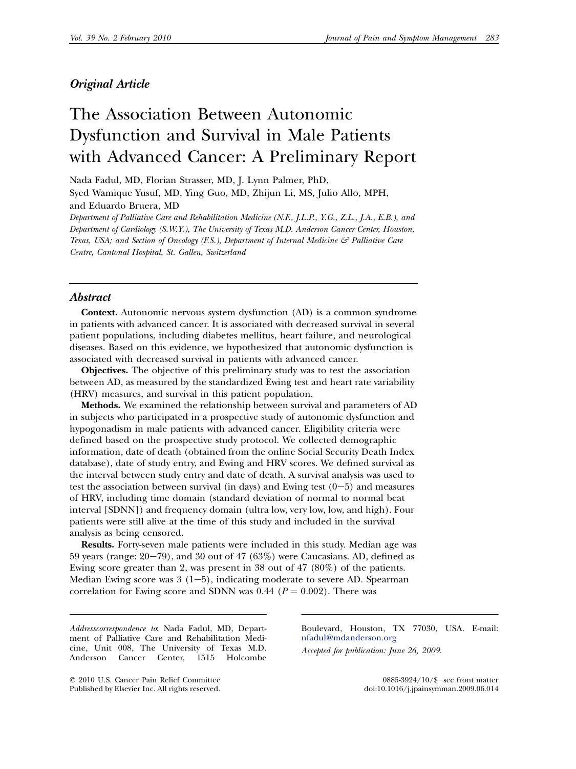## Original Article

# The Association Between Autonomic Dysfunction and Survival in Male Patients with Advanced Cancer: A Preliminary Report

Nada Fadul, MD, Florian Strasser, MD, J. Lynn Palmer, PhD, Syed Wamique Yusuf, MD, Ying Guo, MD, Zhijun Li, MS, Julio Allo, MPH, and Eduardo Bruera, MD Department of Palliative Care and Rehabilitation Medicine (N.F., J.L.P., Y.G., Z.L., J.A., E.B.), and

Department of Cardiology (S.W.Y.), The University of Texas M.D. Anderson Cancer Center, Houston, Texas, USA; and Section of Oncology  $(F.S.)$ , Department of Internal Medicine  $\mathcal{F}$  Palliative Care Centre, Cantonal Hospital, St. Gallen, Switzerland

#### **Abstract**

Context. Autonomic nervous system dysfunction (AD) is a common syndrome in patients with advanced cancer. It is associated with decreased survival in several patient populations, including diabetes mellitus, heart failure, and neurological diseases. Based on this evidence, we hypothesized that autonomic dysfunction is associated with decreased survival in patients with advanced cancer.

Objectives. The objective of this preliminary study was to test the association between AD, as measured by the standardized Ewing test and heart rate variability (HRV) measures, and survival in this patient population.

Methods. We examined the relationship between survival and parameters of AD in subjects who participated in a prospective study of autonomic dysfunction and hypogonadism in male patients with advanced cancer. Eligibility criteria were defined based on the prospective study protocol. We collected demographic information, date of death (obtained from the online Social Security Death Index database), date of study entry, and Ewing and HRV scores. We defined survival as the interval between study entry and date of death. A survival analysis was used to test the association between survival (in days) and Ewing test  $(0-5)$  and measures of HRV, including time domain (standard deviation of normal to normal beat interval [SDNN]) and frequency domain (ultra low, very low, low, and high). Four patients were still alive at the time of this study and included in the survival analysis as being censored.

Results. Forty-seven male patients were included in this study. Median age was 59 years (range:  $20-79$ ), and 30 out of 47 (63%) were Caucasians. AD, defined as Ewing score greater than 2, was present in 38 out of 47 (80%) of the patients. Median Ewing score was  $3(1-5)$ , indicating moderate to severe AD. Spearman correlation for Ewing score and SDNN was 0.44 ( $P = 0.002$ ). There was

Addresscorrespondence to: Nada Fadul, MD, Department of Palliative Care and Rehabilitation Medicine, Unit 008, The University of Texas M.D. Anderson Cancer Center, 1515 Holcombe

- 2010 U.S. Cancer Pain Relief Committee Published by Elsevier Inc. All rights reserved. Boulevard, Houston, TX 77030, USA. E-mail: [nfadul@mdanderson.org](mailto:nfadul@mdanderson.org) Accepted for publication: June 26, 2009.

> 0885-3924/10/\$-see front matter doi:10.1016/j.jpainsymman.2009.06.014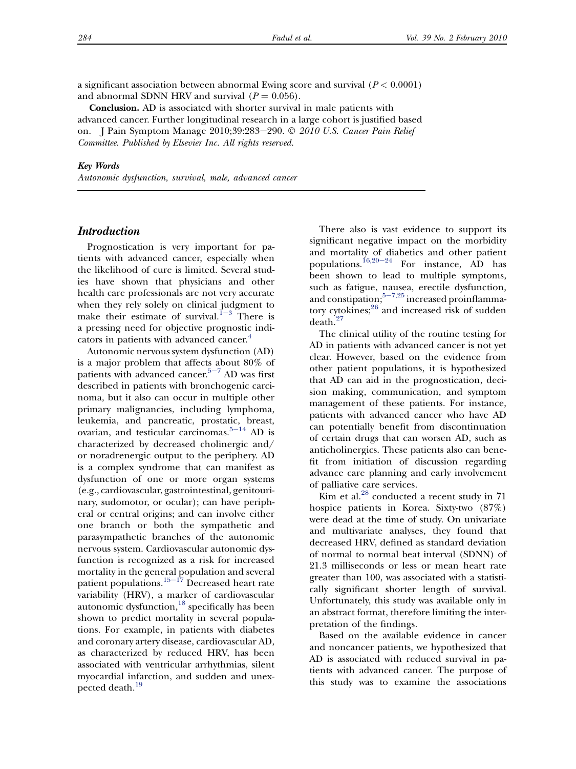a significant association between abnormal Ewing score and survival  $(P < 0.0001)$ and abnormal SDNN HRV and survival  $(P = 0.056)$ .

Conclusion. AD is associated with shorter survival in male patients with advanced cancer. Further longitudinal research in a large cohort is justified based on. J Pain Symptom Manage 2010;39:283–290. © *2010 U.S. Cancer Pain Relief* Committee. Published by Elsevier Inc. All rights reserved.

#### Key Words

Autonomic dysfunction, survival, male, advanced cancer

## **Introduction**

Prognostication is very important for patients with advanced cancer, especially when the likelihood of cure is limited. Several studies have shown that physicians and other health care professionals are not very accurate when they rely solely on clinical judgment to mak[e](#page-5-0) their estimate of survival.<sup>1-3</sup> There is a pressing need for objective prognostic indi-cators in patients with advanced cancer.<sup>[4](#page-5-0)</sup>

Autonomic nervous system dysfunction (AD) is a major problem that affects about 80% of pati[e](#page-5-0)nts with advanced cancer. $5-7$  AD was first described in patients with bronchogenic carcinoma, but it also can occur in multiple other primary malignancies, including lymphoma, leukemia, and pancreatic, prostatic, breast, ovarian, and testicular carcinomas. $5-14$  $5-14$  AD is characterized by decreased cholinergic and/ or noradrenergic output to the periphery. AD is a complex syndrome that can manifest as dysfunction of one or more organ systems (e.g., cardiovascular, gastrointestinal, genitourinary, sudomotor, or ocular); can have peripheral or central origins; and can involve either one branch or both the sympathetic and parasympathetic branches of the autonomic nervous system. Cardiovascular autonomic dysfunction is recognized as a risk for increased mortality in the gen[eral p](#page-6-0)opulation and several patient populations.<sup>15-17</sup> Decreased heart rate variability (HRV), a marker of cardiovascular autonomic dysfunction, $^{18}$  $^{18}$  $^{18}$  specifically has been shown to predict mortality in several populations. For example, in patients with diabetes and coronary artery disease, cardiovascular AD, as characterized by reduced HRV, has been associated with ventricular arrhythmias, silent myocardial infarction, and sudden and unexpected death.<sup>19</sup>

There also is vast evidence to support its significant negative impact on the morbidity and mortality of diabetics and other patient populations.<sup>[16,20](#page-6-0)-24</sup> For instance, AD has been shown to lead to multiple symptoms, such as fatigue, nausea, erectile dysfunction, and constipation; $5-7,25$  $5-7,25$  increased proinflamma-tory cytokines;<sup>[26](#page-6-0)</sup> and increased risk of sudden death.[27](#page-6-0)

The clinical utility of the routine testing for AD in patients with advanced cancer is not yet clear. However, based on the evidence from other patient populations, it is hypothesized that AD can aid in the prognostication, decision making, communication, and symptom management of these patients. For instance, patients with advanced cancer who have AD can potentially benefit from discontinuation of certain drugs that can worsen AD, such as anticholinergics. These patients also can benefit from initiation of discussion regarding advance care planning and early involvement of palliative care services.

 $\mathrm{Kim}$  et al.<sup>[28](#page-6-0)</sup> conducted a recent study in 71 hospice patients in Korea. Sixty-two (87%) were dead at the time of study. On univariate and multivariate analyses, they found that decreased HRV, defined as standard deviation of normal to normal beat interval (SDNN) of 21.3 milliseconds or less or mean heart rate greater than 100, was associated with a statistically significant shorter length of survival. Unfortunately, this study was available only in an abstract format, therefore limiting the interpretation of the findings.

Based on the available evidence in cancer and noncancer patients, we hypothesized that AD is associated with reduced survival in patients with advanced cancer. The purpose of this study was to examine the associations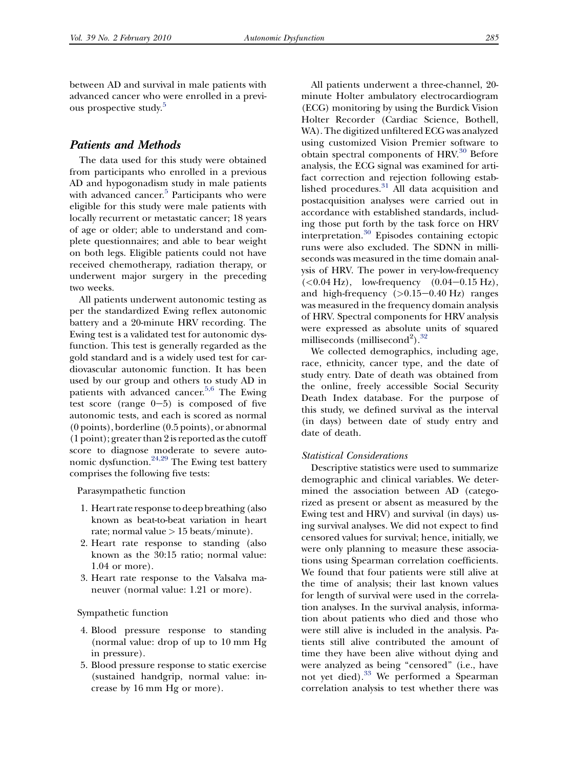between AD and survival in male patients with advanced cancer who were enrolled in a previ-ous prospective study.<sup>[5](#page-5-0)</sup>

## Patients and Methods

The data used for this study were obtained from participants who enrolled in a previous AD and hypogonadism study in male patients with advanced cancer.<sup>[5](#page-5-0)</sup> Participants who were eligible for this study were male patients with locally recurrent or metastatic cancer; 18 years of age or older; able to understand and complete questionnaires; and able to bear weight on both legs. Eligible patients could not have received chemotherapy, radiation therapy, or underwent major surgery in the preceding two weeks.

All patients underwent autonomic testing as per the standardized Ewing reflex autonomic battery and a 20-minute HRV recording. The Ewing test is a validated test for autonomic dysfunction. This test is generally regarded as the gold standard and is a widely used test for cardiovascular autonomic function. It has been used by our group and others to study AD in patients with advanced cancer.<sup>[5,6](#page-5-0)</sup> The Ewing test score (range  $0-5$ ) is composed of five autonomic tests, and each is scored as normal (0 points), borderline (0.5 points), or abnormal (1 point); greater than 2 is reported as the cutoff score to diagnose moderate to severe autonomic dysfunction.[24,29](#page-6-0) The Ewing test battery comprises the following five tests:

Parasympathetic function

- 1. Heart rate response to deep breathing (also known as beat-to-beat variation in heart rate; normal value  $> 15$  beats/minute).
- 2. Heart rate response to standing (also known as the 30:15 ratio; normal value: 1.04 or more).
- 3. Heart rate response to the Valsalva maneuver (normal value: 1.21 or more).

Sympathetic function

- 4. Blood pressure response to standing (normal value: drop of up to 10 mm Hg in pressure).
- 5. Blood pressure response to static exercise (sustained handgrip, normal value: increase by 16 mm Hg or more).

All patients underwent a three-channel, 20 minute Holter ambulatory electrocardiogram (ECG) monitoring by using the Burdick Vision Holter Recorder (Cardiac Science, Bothell, WA). The digitized unfiltered ECG was analyzed using customized Vision Premier software to obtain spectral components of HRV.<sup>[30](#page-6-0)</sup> Before analysis, the ECG signal was examined for artifact correction and rejection following estab-lished procedures.<sup>[31](#page-6-0)</sup> All data acquisition and postacquisition analyses were carried out in accordance with established standards, including those put forth by the task force on HRV interpretation.[30](#page-6-0) Episodes containing ectopic runs were also excluded. The SDNN in milliseconds was measured in the time domain analysis of HRV. The power in very-low-frequency  $(<0.04$  Hz), low-frequency  $(0.04-0.15$  Hz), and high-frequency  $(>0.15-0.40 \text{ Hz})$  ranges was measured in the frequency domain analysis of HRV. Spectral components for HRV analysis were expressed as absolute units of squared milliseconds (millisecond<sup>2</sup>).<sup>[32](#page-6-0)</sup>

We collected demographics, including age, race, ethnicity, cancer type, and the date of study entry. Date of death was obtained from the online, freely accessible Social Security Death Index database. For the purpose of this study, we defined survival as the interval (in days) between date of study entry and date of death.

#### Statistical Considerations

Descriptive statistics were used to summarize demographic and clinical variables. We determined the association between AD (categorized as present or absent as measured by the Ewing test and HRV) and survival (in days) using survival analyses. We did not expect to find censored values for survival; hence, initially, we were only planning to measure these associations using Spearman correlation coefficients. We found that four patients were still alive at the time of analysis; their last known values for length of survival were used in the correlation analyses. In the survival analysis, information about patients who died and those who were still alive is included in the analysis. Patients still alive contributed the amount of time they have been alive without dying and were analyzed as being "censored" (i.e., have not yet died).<sup>[33](#page-7-0)</sup> We performed a Spearman correlation analysis to test whether there was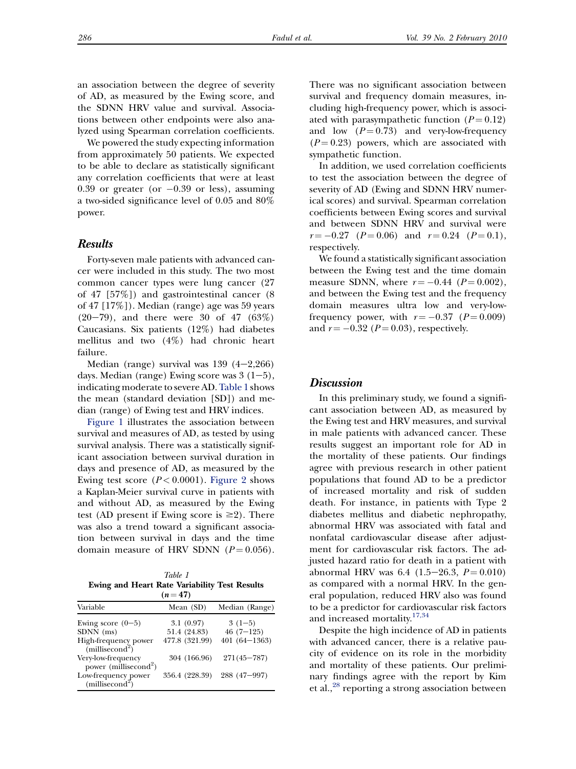an association between the degree of severity of AD, as measured by the Ewing score, and the SDNN HRV value and survival. Associations between other endpoints were also analyzed using Spearman correlation coefficients.

We powered the study expecting information from approximately 50 patients. We expected to be able to declare as statistically significant any correlation coefficients that were at least  $0.39$  or greater (or  $-0.39$  or less), assuming a two-sided significance level of 0.05 and 80% power.

#### Results

Forty-seven male patients with advanced cancer were included in this study. The two most common cancer types were lung cancer (27 of 47 [57%]) and gastrointestinal cancer (8 of 47 [17%]). Median (range) age was 59 years  $(20-79)$ , and there were 30 of 47  $(63\%)$ Caucasians. Six patients (12%) had diabetes mellitus and two (4%) had chronic heart failure.

Median (range) survival was  $139$   $(4-2,266)$ days. Median (range) Ewing score was  $3(1-5)$ , indicating moderate to severe AD.Table 1 shows the mean (standard deviation [SD]) and median (range) of Ewing test and HRV indices.

[Figure 1](#page-4-0) illustrates the association between survival and measures of AD, as tested by using survival analysis. There was a statistically significant association between survival duration in days and presence of AD, as measured by the Ewing test score  $(P < 0.0001)$ . [Figure 2](#page-5-0) shows a Kaplan-Meier survival curve in patients with and without AD, as measured by the Ewing test (AD present if Ewing score is  $\geq$ 2). There was also a trend toward a significant association between survival in days and the time domain measure of HRV SDNN  $(P = 0.056)$ .

Table 1 Ewing and Heart Rate Variability Test Results  $(n = 47)$ 

| .                                                       |                |                  |
|---------------------------------------------------------|----------------|------------------|
| Variable                                                | Mean (SD)      | Median (Range)   |
| Ewing score $(0-5)$                                     | 3.1(0.97)      | $3(1-5)$         |
| SDNN (ms)                                               | 51.4 (24.83)   | $46(7-125)$      |
| High-frequency power<br>(millisecond <sup>2</sup> )     | 477.8 (321.99) | $401(64 - 1363)$ |
| Very-low-frequency<br>power (millisecond <sup>2</sup> ) | 304 (166.96)   | $271(45 - 787)$  |
| Low-frequency power<br>(millisecond <sup>2</sup> )      | 356.4 (228.39) | $288(47 - 997)$  |

There was no significant association between survival and frequency domain measures, including high-frequency power, which is associated with parasympathetic function  $(P = 0.12)$ and low  $(P = 0.73)$  and very-low-frequency  $(P = 0.23)$  powers, which are associated with sympathetic function.

In addition, we used correlation coefficients to test the association between the degree of severity of AD (Ewing and SDNN HRV numerical scores) and survival. Spearman correlation coefficients between Ewing scores and survival and between SDNN HRV and survival were  $r = -0.27$  ( $P = 0.06$ ) and  $r = 0.24$  ( $P = 0.1$ ), respectively.

We found a statistically significant association between the Ewing test and the time domain measure SDNN, where  $r = -0.44$  ( $P = 0.002$ ), and between the Ewing test and the frequency domain measures ultra low and very-lowfrequency power, with  $r = -0.37$  ( $P = 0.009$ ) and  $r = -0.32$  ( $P = 0.03$ ), respectively.

### **Discussion**

In this preliminary study, we found a significant association between AD, as measured by the Ewing test and HRV measures, and survival in male patients with advanced cancer. These results suggest an important role for AD in the mortality of these patients. Our findings agree with previous research in other patient populations that found AD to be a predictor of increased mortality and risk of sudden death. For instance, in patients with Type 2 diabetes mellitus and diabetic nephropathy, abnormal HRV was associated with fatal and nonfatal cardiovascular disease after adjustment for cardiovascular risk factors. The adjusted hazard ratio for death in a patient with abnormal HRV was 6.4  $(1.5-26.3, P = 0.010)$ as compared with a normal HRV. In the general population, reduced HRV also was found to be a predictor for cardiovascular risk factors and increased mortality.<sup>[17,34](#page-6-0)</sup>

Despite the high incidence of AD in patients with advanced cancer, there is a relative paucity of evidence on its role in the morbidity and mortality of these patients. Our preliminary findings agree with the report by Kim et al.,<sup>[28](#page-6-0)</sup> reporting a strong association between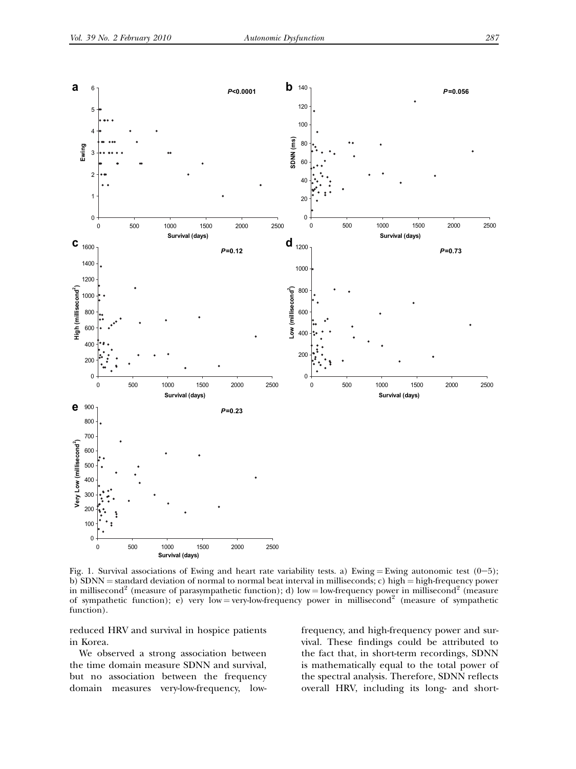

<span id="page-4-0"></span>

Fig. 1. Survival associations of Ewing and heart rate variability tests. a) Ewing = Ewing autonomic test (0-5); b) SDNN = standard deviation of normal to normal beat interval in milliseconds; c) high = high-frequency power in millisecond<sup>2</sup> (measure of parasympathetic function); d) low = low-frequency power in millisecond<sup>2</sup> (measure of sympathetic function); e) very low = very-low-frequency power in millisecond<sup>2</sup> (measure of sympathetic function).

reduced HRV and survival in hospice patients in Korea.

We observed a strong association between the time domain measure SDNN and survival, but no association between the frequency domain measures very-low-frequency, lowfrequency, and high-frequency power and survival. These findings could be attributed to the fact that, in short-term recordings, SDNN is mathematically equal to the total power of the spectral analysis. Therefore, SDNN reflects overall HRV, including its long- and short-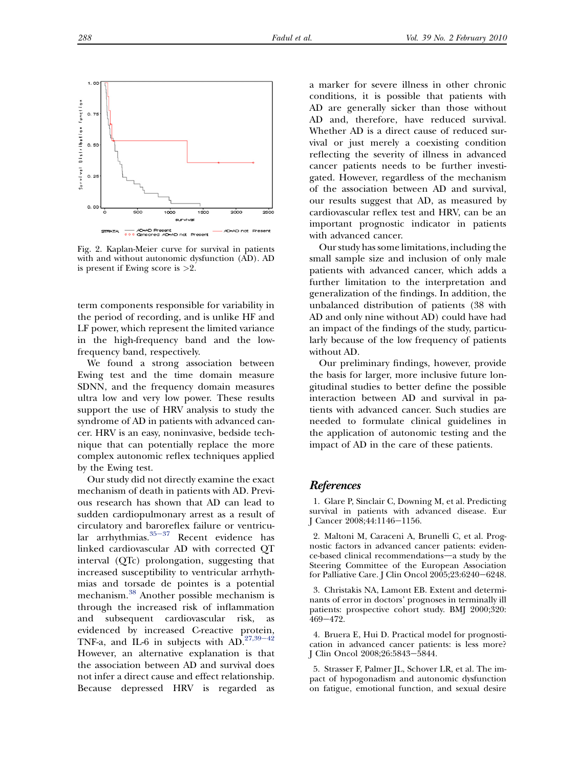<span id="page-5-0"></span>

Fig. 2. Kaplan-Meier curve for survival in patients with and without autonomic dysfunction (AD). AD is present if Ewing score is >2.

term components responsible for variability in the period of recording, and is unlike HF and LF power, which represent the limited variance in the high-frequency band and the lowfrequency band, respectively.

We found a strong association between Ewing test and the time domain measure SDNN, and the frequency domain measures ultra low and very low power. These results support the use of HRV analysis to study the syndrome of AD in patients with advanced cancer. HRV is an easy, noninvasive, bedside technique that can potentially replace the more complex autonomic reflex techniques applied by the Ewing test.

Our study did not directly examine the exact mechanism of death in patients with AD. Previous research has shown that AD can lead to sudden cardiopulmonary arrest as a result of circulatory and baroreflex failure or ventricular arrhythmias. $35-37$  $35-37$  Recent evidence has linked cardiovascular AD with corrected QT interval (QTc) prolongation, suggesting that increased susceptibility to ventricular arrhythmias and torsade de pointes is a potential mechanism.[38](#page-7-0) Another possible mechanism is through the increased risk of inflammation and subsequent cardiovascular risk, as evidenced by increased C-reactive protein, TNF-a, and IL-6 in subjects with  $AD.^{27,39-42}$  $AD.^{27,39-42}$  $AD.^{27,39-42}$ However, an alternative explanation is that the association between AD and survival does not infer a direct cause and effect relationship. Because depressed HRV is regarded as

a marker for severe illness in other chronic conditions, it is possible that patients with AD are generally sicker than those without AD and, therefore, have reduced survival. Whether AD is a direct cause of reduced survival or just merely a coexisting condition reflecting the severity of illness in advanced cancer patients needs to be further investigated. However, regardless of the mechanism of the association between AD and survival, our results suggest that AD, as measured by cardiovascular reflex test and HRV, can be an important prognostic indicator in patients with advanced cancer.

Our study has some limitations, including the small sample size and inclusion of only male patients with advanced cancer, which adds a further limitation to the interpretation and generalization of the findings. In addition, the unbalanced distribution of patients (38 with AD and only nine without AD) could have had an impact of the findings of the study, particularly because of the low frequency of patients without AD.

Our preliminary findings, however, provide the basis for larger, more inclusive future longitudinal studies to better define the possible interaction between AD and survival in patients with advanced cancer. Such studies are needed to formulate clinical guidelines in the application of autonomic testing and the impact of AD in the care of these patients.

#### References

1. Glare P, Sinclair C, Downing M, et al. Predicting survival in patients with advanced disease. Eur J Cancer 2008;44:1146-1156.

2. Maltoni M, Caraceni A, Brunelli C, et al. Prognostic factors in advanced cancer patients: evidence-based clinical recommendations-a study by the Steering Committee of the European Association for Palliative Care. J Clin Oncol  $2005;23:6240-6248$ .

3. Christakis NA, Lamont EB. Extent and determinants of error in doctors' prognoses in terminally ill patients: prospective cohort study. BMJ 2000;320: 469-472

4. Bruera E, Hui D. Practical model for prognostication in advanced cancer patients: is less more? J Clin Oncol 2008;26:5843-5844.

5. Strasser F, Palmer JL, Schover LR, et al. The impact of hypogonadism and autonomic dysfunction on fatigue, emotional function, and sexual desire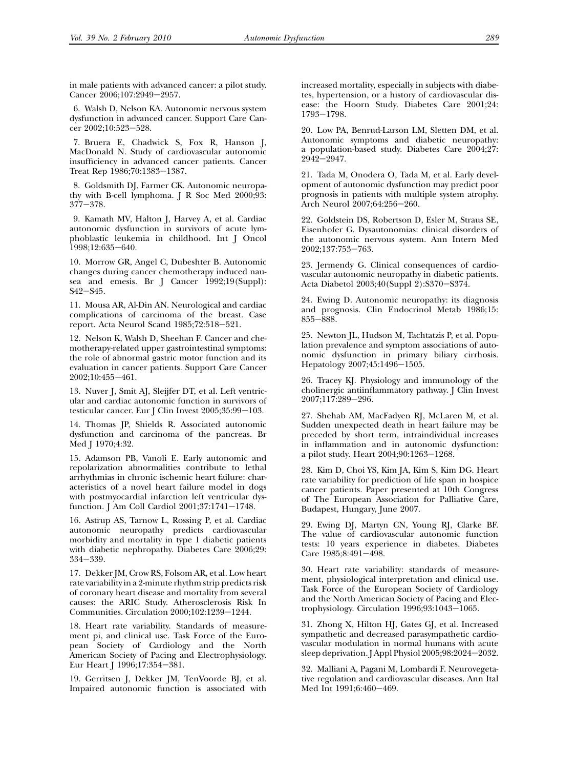<span id="page-6-0"></span>in male patients with advanced cancer: a pilot study. Cancer 2006;107:2949-2957.

6. Walsh D, Nelson KA. Autonomic nervous system dysfunction in advanced cancer. Support Care Cancer 2002;10:523-528.

7. Bruera E, Chadwick S, Fox R, Hanson J, MacDonald N. Study of cardiovascular autonomic insufficiency in advanced cancer patients. Cancer Treat Rep 1986;70:1383-1387.

8. Goldsmith DJ, Farmer CK. Autonomic neuropathy with B-cell lymphoma. J R Soc Med 2000;93:  $377 - 378.$ 

9. Kamath MV, Halton J, Harvey A, et al. Cardiac autonomic dysfunction in survivors of acute lymphoblastic leukemia in childhood. Int J Oncol 1998;12:635-640.

10. Morrow GR, Angel C, Dubeshter B. Autonomic changes during cancer chemotherapy induced nausea and emesis. Br J Cancer 1992;19(Suppl): S42-S45.

11. Mousa AR, Al-Din AN. Neurological and cardiac complications of carcinoma of the breast. Case report. Acta Neurol Scand 1985;72:518-521.

12. Nelson K, Walsh D, Sheehan F. Cancer and chemotherapy-related upper gastrointestinal symptoms: the role of abnormal gastric motor function and its evaluation in cancer patients. Support Care Cancer 2002;10:455-461.

13. Nuver J, Smit AJ, Sleijfer DT, et al. Left ventricular and cardiac autonomic function in survivors of testicular cancer. Eur J Clin Invest  $2005;35:99-103$ .

14. Thomas JP, Shields R. Associated autonomic dysfunction and carcinoma of the pancreas. Br Med J 1970;4:32.

15. Adamson PB, Vanoli E. Early autonomic and repolarization abnormalities contribute to lethal arrhythmias in chronic ischemic heart failure: characteristics of a novel heart failure model in dogs with postmyocardial infarction left ventricular dysfunction. J Am Coll Cardiol  $2001;37:1741-1748$ .

16. Astrup AS, Tarnow L, Rossing P, et al. Cardiac autonomic neuropathy predicts cardiovascular morbidity and mortality in type 1 diabetic patients with diabetic nephropathy. Diabetes Care 2006;29: 334-339.

17. Dekker JM, Crow RS, Folsom AR, et al. Low heart rate variability in a 2-minute rhythm strip predicts risk of coronary heart disease and mortality from several causes: the ARIC Study. Atherosclerosis Risk In Communities. Circulation 2000;102:1239-1244.

18. Heart rate variability. Standards of measurement pi, and clinical use. Task Force of the European Society of Cardiology and the North American Society of Pacing and Electrophysiology. Eur Heart J 1996;17:354-381.

19. Gerritsen J, Dekker JM, TenVoorde BJ, et al. Impaired autonomic function is associated with increased mortality, especially in subjects with diabetes, hypertension, or a history of cardiovascular disease: the Hoorn Study. Diabetes Care 2001;24: 1793e1798.

20. Low PA, Benrud-Larson LM, Sletten DM, et al. Autonomic symptoms and diabetic neuropathy: a population-based study. Diabetes Care 2004;27:  $2942 - 2947$ .

21. Tada M, Onodera O, Tada M, et al. Early development of autonomic dysfunction may predict poor prognosis in patients with multiple system atrophy. Arch Neurol 2007;64:256-260.

22. Goldstein DS, Robertson D, Esler M, Straus SE, Eisenhofer G. Dysautonomias: clinical disorders of the autonomic nervous system. Ann Intern Med 2002;137:753-763.

23. Jermendy G. Clinical consequences of cardiovascular autonomic neuropathy in diabetic patients. Acta Diabetol 2003;40(Suppl 2):S370-S374.

24. Ewing D. Autonomic neuropathy: its diagnosis and prognosis. Clin Endocrinol Metab 1986;15: 855-888.

25. Newton JL, Hudson M, Tachtatzis P, et al. Population prevalence and symptom associations of autonomic dysfunction in primary biliary cirrhosis. Hepatology 2007;45:1496-1505.

26. Tracey KJ. Physiology and immunology of the cholinergic antiinflammatory pathway. J Clin Invest 2007;117:289-296.

27. Shehab AM, MacFadyen RJ, McLaren M, et al. Sudden unexpected death in heart failure may be preceded by short term, intraindividual increases in inflammation and in autonomic dysfunction: a pilot study. Heart 2004;90:1263-1268.

28. Kim D, Choi YS, Kim JA, Kim S, Kim DG. Heart rate variability for prediction of life span in hospice cancer patients. Paper presented at 10th Congress of The European Association for Palliative Care, Budapest, Hungary, June 2007.

29. Ewing DJ, Martyn CN, Young RJ, Clarke BF. The value of cardiovascular autonomic function tests: 10 years experience in diabetes. Diabetes Care 1985;8:491-498.

30. Heart rate variability: standards of measurement, physiological interpretation and clinical use. Task Force of the European Society of Cardiology and the North American Society of Pacing and Electrophysiology. Circulation 1996;93:1043-1065.

31. Zhong X, Hilton HJ, Gates GJ, et al. Increased sympathetic and decreased parasympathetic cardiovascular modulation in normal humans with acute sleep deprivation. J Appl Physiol  $2005;98:2024-2032$ .

32. Malliani A, Pagani M, Lombardi F. Neurovegetative regulation and cardiovascular diseases. Ann Ital Med Int 1991;6:460-469.